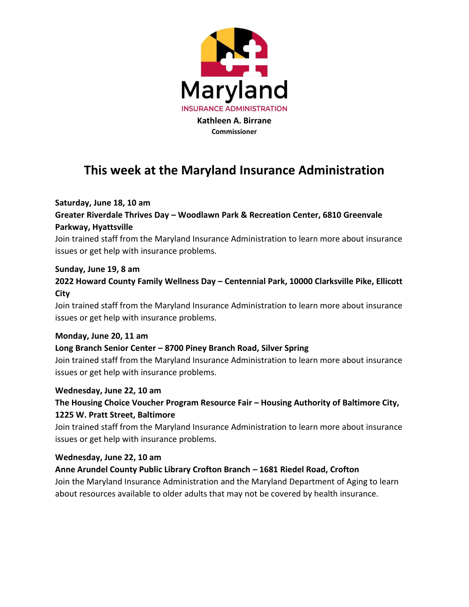

# **This week at the Maryland Insurance Administration**

#### **Saturday, June 18, 10 am**

# **Greater Riverdale Thrives Day – Woodlawn Park & Recreation Center, 6810 Greenvale Parkway, Hyattsville**

Join trained staff from the Maryland Insurance Administration to learn more about insurance issues or get help with insurance problems.

#### **Sunday, June 19, 8 am**

# **2022 Howard County Family Wellness Day – Centennial Park, 10000 Clarksville Pike, Ellicott City**

Join trained staff from the Maryland Insurance Administration to learn more about insurance issues or get help with insurance problems.

#### **Monday, June 20, 11 am**

#### **Long Branch Senior Center – 8700 Piney Branch Road, Silver Spring**

Join trained staff from the Maryland Insurance Administration to learn more about insurance issues or get help with insurance problems.

#### **Wednesday, June 22, 10 am**

# **The Housing Choice Voucher Program Resource Fair – Housing Authority of Baltimore City, 1225 W. Pratt Street, Baltimore**

Join trained staff from the Maryland Insurance Administration to learn more about insurance issues or get help with insurance problems.

#### **Wednesday, June 22, 10 am**

### **Anne Arundel County Public Library Crofton Branch – 1681 Riedel Road, Crofton**

Join the Maryland Insurance Administration and the Maryland Department of Aging to learn about resources available to older adults that may not be covered by health insurance.